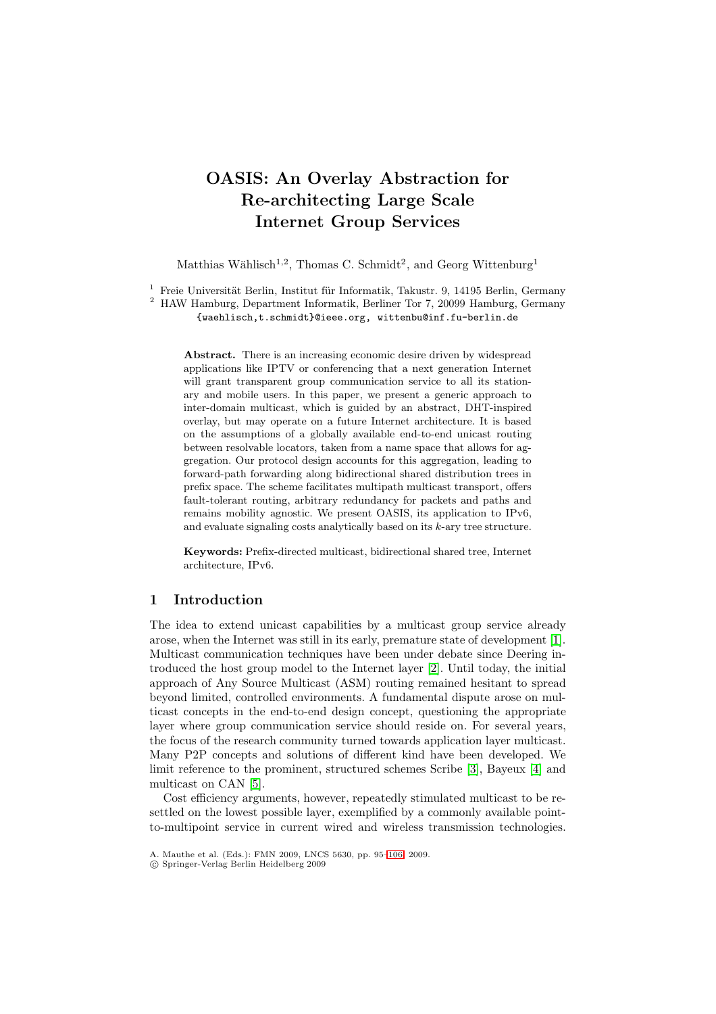# **OASIS: An Overlay Abstraction for Re-architecting Large Scale Internet Group Services**

Matthias Wählisch<sup>1,2</sup>, Thomas C. Schmidt<sup>2</sup>, and Georg Wittenburg<sup>1</sup>

 $1$  Freie Universität Berlin, Institut für Informatik, Takustr. 9, 14195 Berlin, Germany <sup>2</sup> HAW Hamburg, Department Informatik, Berliner Tor 7, 20099 Hamburg, Germany {waehlisch,t.schmidt}@ieee.org, wittenbu@inf.fu-berlin.de

Abstract. There is an increasing economic desire driven by widespread applications like IPTV or conferencing that a next generation Internet will grant transparent group communication service to all its stationary and mobile users. In this paper, we present a generic approach to inter-domain multicast, which is guided by an abstract, DHT-inspired overlay, but may operate on a future Internet architecture. It is based on the assumptions of a globally available end-to-end unicast routing between resolvable locators, taken from a name space that allows for aggregation. Our protocol design accounts for this aggregation, leading to forward-path forwarding along bidirectional shared distribution trees in prefix space. The scheme facilitates multipath multicast transport, offers fault-tolerant routing, arbitrary redundancy for packets and paths and remains mobility agnostic. We present OASIS, its application to IPv6, and evaluate signaling costs analytically based on its *k*-ary tree structure.

**Keywords:** Prefix-directed multicast, bidirectional shared tree, Internet architecture, IPv6.

## **1 Introduction**

The idea to extend unicast capabilities by a multicast group service already arose, when the Internet was still in its early, premature state of development [1]. Multicast communication techniques have been under debate since Deering introduced the host group model to the Internet layer [2]. Until today, the initial approach of Any Source Multicast (ASM) routing remained hesitant to spread beyond limited, controlled environments. A fundamental dispute arose on m[ul](#page-10-0)ticast concepts in the end-to-end design concept, questioning the appropriate layer where group communication service should re[sid](#page-10-1)e on. For several years, the focus of the research community turned towards application layer multicast. Many P2P concepts and solutions of different kind have been developed. We limit reference to the prominent, structured schemes Scribe [3], Bayeux [4] and multicast on CAN [5].

Cost efficiency arguments, however, repeatedly stimulated multicast to be resettled on the lowest possible layer, exemplified by a commonly available pointto-multipoint service in current wired and wireless transmi[ss](#page-10-2)ion techn[olo](#page-10-3)gies.

A. Mauthe et al. (Eds.): FMN 2009, LNCS 5630, pp. 95–106, 2009.

<sup>-</sup>c Springer-Verlag Berlin Heidelberg 2009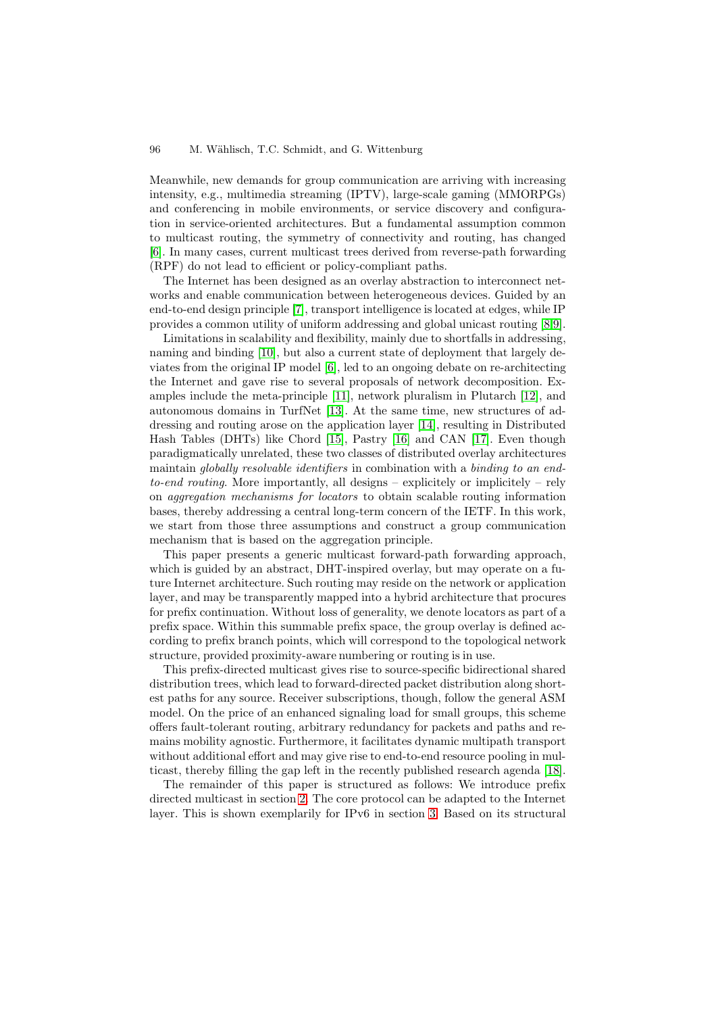#### 96 M. Wählisch, T.C. Schmidt, and G. Wittenburg

Meanwhile, new demands for group communication are arriving with increasing intensity, e.g., multimedia streaming (IPTV), large-scale gaming (MMORPGs) and conferencing in mobile environments, or service discovery and configuration in service-oriented architectures. But a fundamental assumption common to multicast routing, the symmetry of connectivity and routing, has changed [6]. In many cases, current multicast trees derived from reverse-path forwarding (RPF) do not lead to efficient or policy-compliant paths.

The Internet has been designed as an overlay abstraction to interconnect networks and enable communication between heterogeneous devices. Guided by an [en](#page-10-4)d-to-end design principle [7], transport intelligence is located at edges, while IP provides a common utility of uniform addressing and global unicast routing [8,9].

Limitations in scalability and flexibility, mainly due to shortfalls in addressing, naming and binding [10], but also a current state of deployment that largely deviates from the original IP [mo](#page-10-5)del [6], led to an ongoing debate on re-architecting the Internet and gave rise to several proposals of network decomposition. [E](#page-10-6)[x](#page-10-7)amples include the meta-principle [11], network pluralism in Plutarch [12], and autonomous domain[s in](#page-10-8) TurfNet [13]. At the same time, new structures of addressing and routing arose on the [ap](#page-10-4)plication layer [14], resulting in Distributed Hash Tables (DHTs) like Chord [15], Pastry [16] and CAN [17]. Even though paradigmatically unrelated, these t[wo](#page-10-9) classes of distributed overlay arch[itec](#page-10-10)tures maintain *globally resolvable identi[fiers](#page-11-0)* in combination with a *binding to an endto-end routing*. More importantly, all designs – ex[plici](#page-11-1)tely or implicitely – rely on *aggregation mechanisms for lo[cato](#page-11-2)rs* to ob[tain](#page-11-3) scalable r[outi](#page-11-4)ng information bases, thereby addressing a central long-term concern of the IETF. In this work, we start from those three assumptions and construct a group communication mechanism that is based on the aggregation principle.

This paper presents a generic multicast forward-path forwarding approach, which is guided by an abstract, DHT-inspired overlay, but may operate on a future Internet architecture. Such routing may reside on the network or application layer, and may be transparently mapped into a hybrid architecture that procures for prefix continuation. Without loss of generality, we denote locators as part of a prefix space. Within this summable prefix space, the group overlay is defined according to prefix branch points, which will correspond to the topological network structure, provided proximity-aware numbering or routing is in use.

This prefix-directed multicast gives rise to source-specific bidirectional shared distribution trees, which lead to forward-directed packet distribution along shortest paths for any source. Receiver subscriptions, though, follow the general ASM model. On the price of an enhanced signaling load for small groups, this scheme offers fault-tolerant routing, arbitrary redundancy for packets and paths and remains mobility agnostic. Furthermore, it facilitates dynamic multipath transport without additional effort and may give rise to end-to-end resource pooling in multicast, thereby filling the gap left in the recently published research agenda [18].

The remainder of this paper is structured as follows: We introduce prefix directed multicast in section 2. The core protocol can be adapted to the Internet layer. This is shown exemplarily for IPv6 in section 3. Based on its structural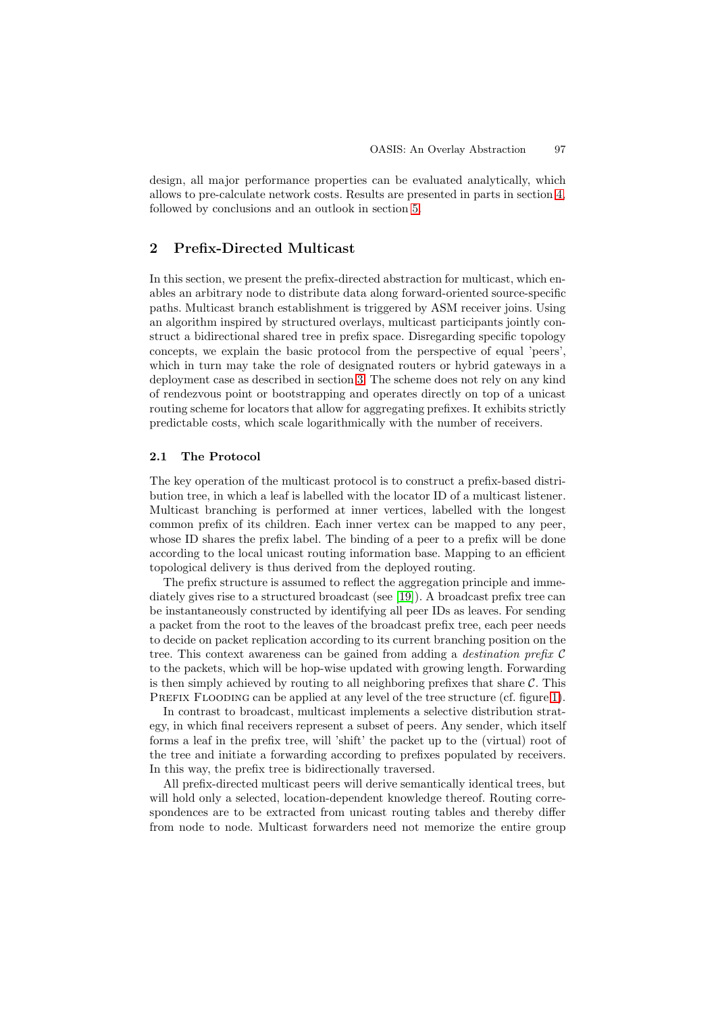design, all major performance properties can be evaluated analytically, which allows to pre-calculate network costs. Results are presented in parts in section 4, followed by conclusions and an outlook in section 5.

# **2 Prefix-Directed Multicast**

<span id="page-2-0"></span>In this section, we present the prefix-directed abstr[ac](#page-9-0)tion for multicast, which enables an arbitrary node to distribute data along forward-oriented source-specific paths. Multicast branch establishment is triggered by ASM receiver joins. Using an algorithm inspired by structured overlays, multicast participants jointly construct a bidirectional shared tree in prefix space. Disregarding specific topology concepts, we explain the basic protocol from the perspective of equal 'peers', which in turn may take the role of designated routers or hybrid gateways in a deployment case as described in section 3. The scheme does not rely on any kind of rendezvous point or bootstrapping and operates directly on top of a unicast routing scheme for locators that allow for aggregating prefixes. It exhibits strictly predictable costs, which scale logarithmically with the number of receivers.

## **2.1 The Protocol**

The key operation of the multicast protocol is to construct a prefix-based distribution tree, in which a leaf is labelled with the locator ID of a multicast listener. Multicast branching is performed at inner vertices, labelled with the longest common prefix of its children. Each inner vertex can be mapped to any peer, whose ID shares the prefix label. The binding of a peer to a prefix will be done according to the local unicast routing information base. Mapping to an efficient topological delivery is thus derived from the deployed routing.

The prefix structure is assumed to reflect the aggregation principle and immediately gives rise to a structured broadcast (see [19]). A broadcast prefix tree can be instantaneously constructed by identifying all peer IDs as leaves. For sending a packet from the root to the leaves of the broadcast prefix tree, each peer needs to decide on packet replication according to its current branching position on the tree. This context awareness can be gained fro[m a](#page-11-5)dding a *destination prefix* C to the packets, which will be hop-wise updated with growing length. Forwarding is then simply achieved by routing to all neighboring prefixes that share  $\mathcal{C}$ . This PREFIX FLOODING can be applied at any level of the tree structure (cf. figure 1).

In contrast to broadcast, multicast implements a selective distribution strategy, in which final receivers represent a subset of peers. Any sender, which itself forms a leaf in the prefix tree, will 'shift' the packet up to the (virtual) root of the tree and initiate a forwarding according to prefixes populated by receiv[ers](#page-3-0). In this way, the prefix tree is bidirectionally traversed.

All prefix-directed multicast peers will derive semantically identical trees, but will hold only a selected, location-dependent knowledge thereof. Routing correspondences are to be extracted from unicast routing tables and thereby differ from node to node. Multicast forwarders need not memorize the entire group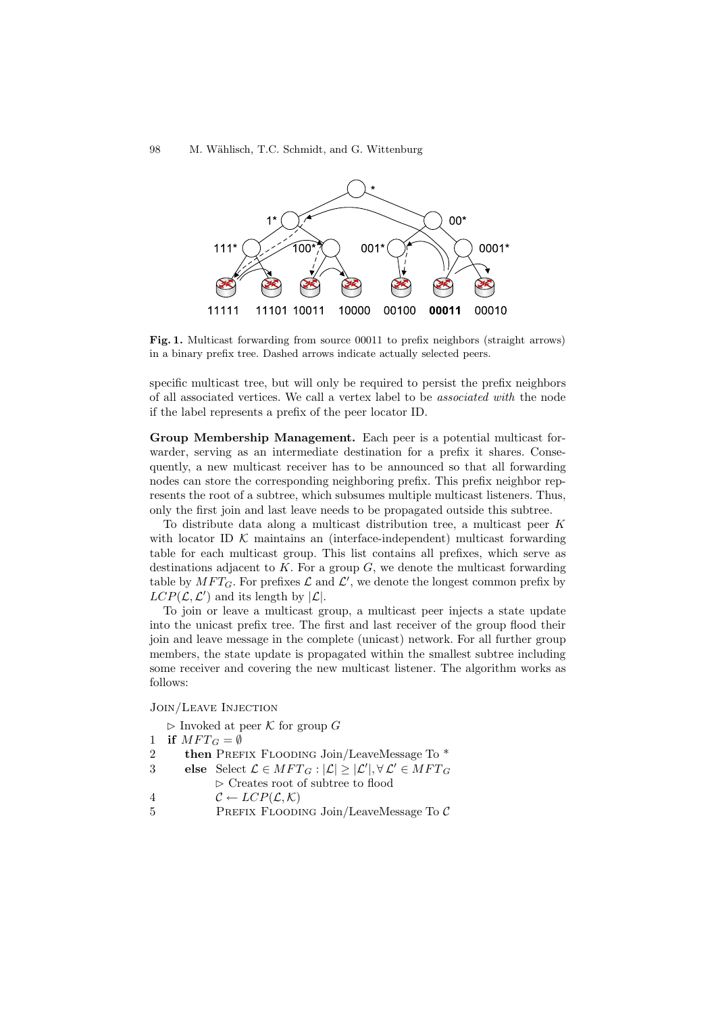

<span id="page-3-0"></span>**Fig. 1.** Multicast forwarding from source 00011 to prefix neighbors (straight arrows) in a binary prefix tree. Dashed arrows indicate actually selected peers.

specific multicast tree, but will only be required to persist the prefix neighbors of all associated vertices. We call a vertex label to be *associated with* the node if the label represents a prefix of the peer locator ID.

**Group Membership Management.** Each peer is a potential multicast forwarder, serving as an intermediate destination for a prefix it shares. Consequently, a new multicast receiver has to be announced so that all forwarding nodes can store the corresponding neighboring prefix. This prefix neighbor represents the root of a subtree, which subsumes multiple multicast listeners. Thus, only the first join and last leave needs to be propagated outside this subtree.

To distribute data along a multicast distribution tree, a multicast peer *K* with locator ID  $K$  maintains an (interface-independent) multicast forwarding table for each multicast group. This list contains all prefixes, which serve as destinations adjacent to *K*. For a group *G*, we denote the multicast forwarding table by  $MFT_G$ . For prefixes  $\mathcal L$  and  $\mathcal L'$ , we denote the longest common prefix by  $LCP(C, C')$  and its length by  $|C|$  $LCP(\mathcal{L}, \mathcal{L}')$  and its length by  $|\mathcal{L}|$ .<br>To join or leave a multicast guide

To join or leave a multicast group, a multicast peer injects a state update into the unicast prefix tree. The first and last receiver of the group flood their join and leave message in the complete (unicast) network. For all further group members, the state update is propagated within the smallest subtree including some receiver and covering the new multicast listener. The algorithm works as follows:

Join/Leave Injection

 $\triangleright$  Invoked at peer K for group G

- 1 **if**  $MFT_G = \emptyset$ <br>2 **then** PREF
- then PREFIX FLOODING Join/LeaveMessage To \*
- 3 **else** Select  $\mathcal{L} \in MFT_G : |\mathcal{L}| \geq |\mathcal{L}'|, \forall \mathcal{L}' \in MFT_G$ <br>  $\supset \text{Createst root of subtree to flood}$

 $\vartriangleright$  Creates root of subtree to flood

- 4  $C \leftarrow LCP(\mathcal{L}, \mathcal{K})$ <br>5 PREFIX FLOODI
- PREFIX FLOODING Join/LeaveMessage To  $C$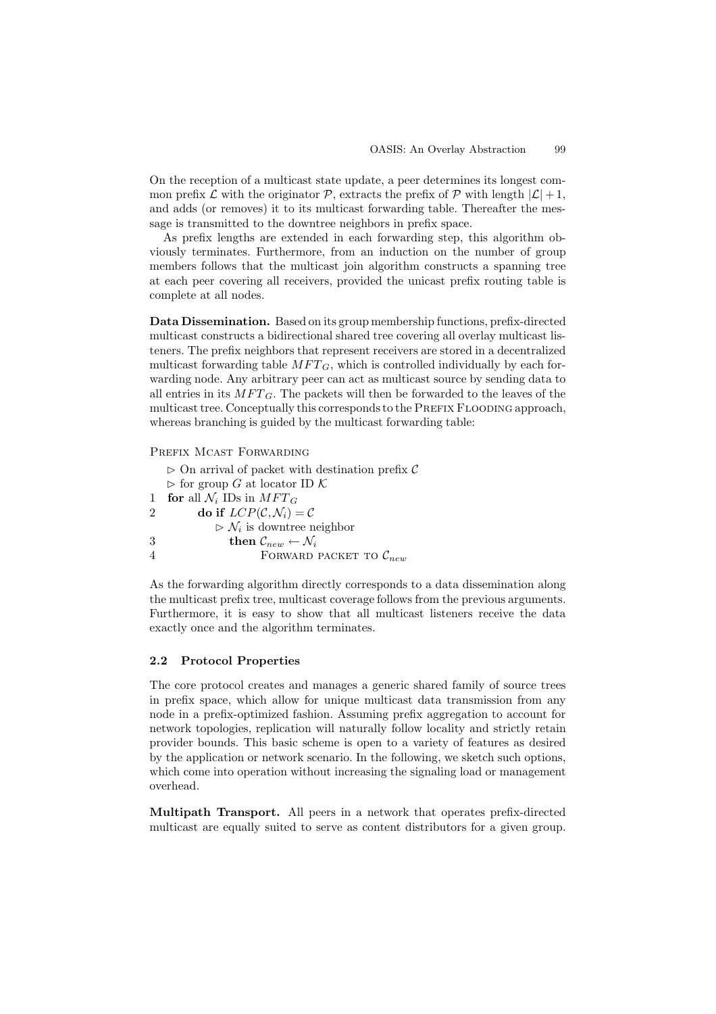On the reception of a multicast state update, a peer determines its longest common prefix  $\mathcal L$  with the originator  $\mathcal P$ , extracts the prefix of  $\mathcal P$  with length  $|\mathcal L|+1$ , and adds (or removes) it to its multicast forwarding table. Thereafter the message is transmitted to the downtree neighbors in prefix space.

As prefix lengths are extended in each forwarding step, this algorithm obviously terminates. Furthermore, from an induction on the number of group members follows that the multicast join algorithm constructs a spanning tree at each peer covering all receivers, provided the unicast prefix routing table is complete at all nodes.

**Data Dissemination.** Based on its group membership functions, prefix-directed multicast constructs a bidirectional shared tree covering all overlay multicast listeners. The prefix neighbors that represent receivers are stored in a decentralized multicast forwarding table  $MFT_G$ , which is controlled individually by each forwarding node. Any arbitrary peer can act as multicast source by sending data to all entries in its  $MFT_G$ . The packets will then be forwarded to the leaves of the multicast tree. Conceptually this corresponds to the PREFIX FLOODING approach, whereas branching is guided by the multicast forwarding table:

PREFIX MCAST FORWARDING

 $\triangleright$  On arrival of packet with destination prefix C  $\triangleright$  for group *G* at locator ID  $\mathcal K$ 1 **for** all  $\mathcal{N}_i$  IDs in  $MFT_G$ <br>2 **do if**  $LCP(C, \mathcal{N}_i)$ do if  $LCP(C, \mathcal{N}_i) = C$  $\triangleright \mathcal{N}_i$  is downtree neighbor 3 **then**  $C_{new} \leftarrow \mathcal{N}_i$ <br>4 **FORWARD** FORWARD PACKET TO  $\mathcal{C}_{new}$ 

As the forwarding algorithm directly corresponds to a data dissemination along the multicast prefix tree, multicast coverage follows from the previous arguments. Furthermore, it is easy to show that all multicast listeners receive the data exactly once and the algorithm terminates.

## **2.2 Protocol Properties**

The core protocol creates and manages a generic shared family of source trees in prefix space, which allow for unique multicast data transmission from any node in a prefix-optimized fashion. Assuming prefix aggregation to account for network topologies, replication will naturally follow locality and strictly retain provider bounds. This basic scheme is open to a variety of features as desired by the application or network scenario. In the following, we sketch such options, which come into operation without increasing the signaling load or management overhead.

**Multipath Transport.** All peers in a network that operates prefix-directed multicast are equally suited to serve as content distributors for a given group.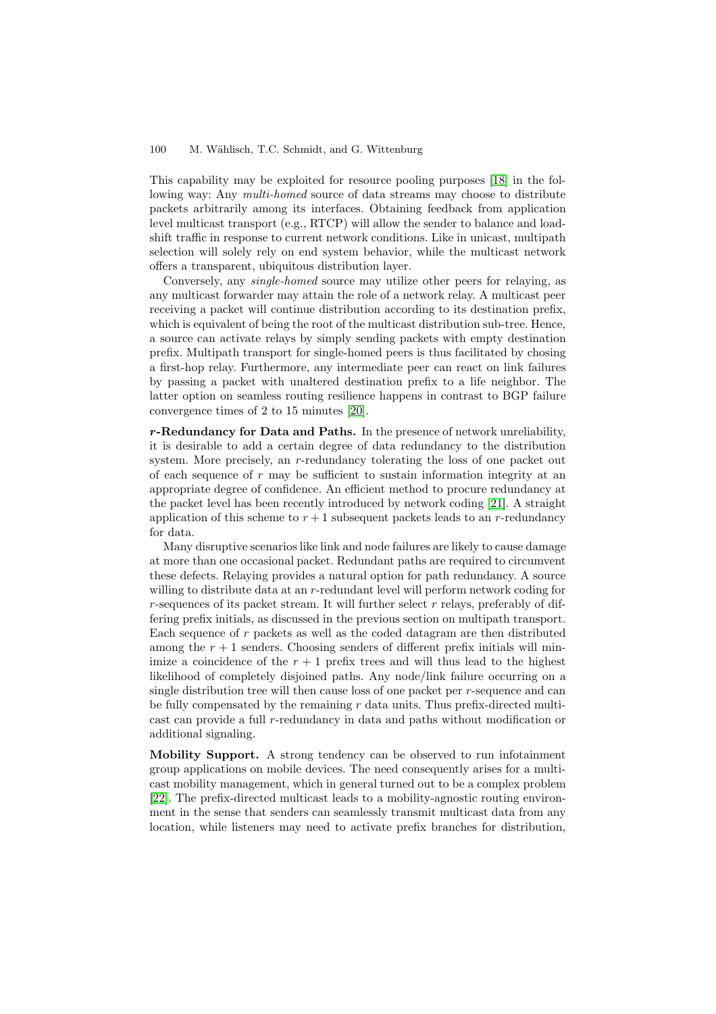### 100 M. Wählisch, T.C. Schmidt, and G. Wittenburg

This capability may be exploited for resource pooling purposes [18] in the following way: Any *multi-homed* source of data streams may choose to distribute packets arbitrarily among its interfaces. Obtaining feedback from application level multicast transport (e.g., RTCP) will allow the sender to balance and loadshift traffic in response to current network conditions. Like in unic[ast](#page-11-6), multipath selection will solely rely on end system behavior, while the multicast network offers a transparent, ubiquitous distribution layer.

Conversely, any *single-homed* source may utilize other peers for relaying, as any multicast forwarder may attain the role of a network relay. A multicast peer receiving a packet will continue distribution according to its destination prefix, which is equivalent of being the root of the multicast distribution sub-tree. Hence, a source can activate relays by simply sending packets with empty destination prefix. Multipath transport for single-homed peers is thus facilitated by chosing a first-hop relay. Furthermore, any intermediate peer can react on link failures by passing a packet with unaltered destination prefix to a life neighbor. The latter option on seamless routing resilience happens in contrast to BGP failure convergence times of 2 to 15 minutes [20].

*r***-Redundancy for Data and Paths.** In the presence of network unreliability, it is desirable to add a certain degree of data redundancy to the distribution system. More precisely, an *r*-redundancy tolerating the loss of one packet out of each sequence of *r* may be sufficie[nt](#page-11-7) to sustain information integrity at an appropriate degree of confidence. An efficient method to procure redundancy at the packet level has been recently introduced by network coding [21]. A straight application of this scheme to  $r + 1$  subsequent packets leads to an  $r$ -redundancy for data.

Many disruptive scenarios like link and node failures are likely to cause damage at more than one occasional packet. Redundant paths are require[d to](#page-11-8) circumvent these defects. Relaying provides a natural option for path redundancy. A source willing to distribute data at an *r*-redundant level will perform network coding for *r*-sequences of its packet stream. It will further select *r* relays, preferably of differing prefix initials, as discussed in the previous section on multipath transport. Each sequence of *r* packets as well as the coded datagram are then distributed among the  $r + 1$  senders. Choosing senders of different prefix initials will minimize a coincidence of the  $r + 1$  prefix trees and will thus lead to the highest likelihood of completely disjoined paths. Any node/link failure occurring on a single distribution tree will then cause loss of one packet per *r*-sequence and can be fully compensated by the remaining *r* data units. Thus prefix-directed multicast can provide a full *r*-redundancy in data and paths without modification or additional signaling.

**Mobility Support.** A strong tendency can be observed to run infotainment group applications on mobile devices. The need consequently arises for a multicast mobility management, which in general turned out to be a complex problem [22]. The prefix-directed multicast leads to a mobility-agnostic routing environment in the sense that senders can seamlessly transmit multicast data from any location, while listeners may need to activate prefix branches for distribution,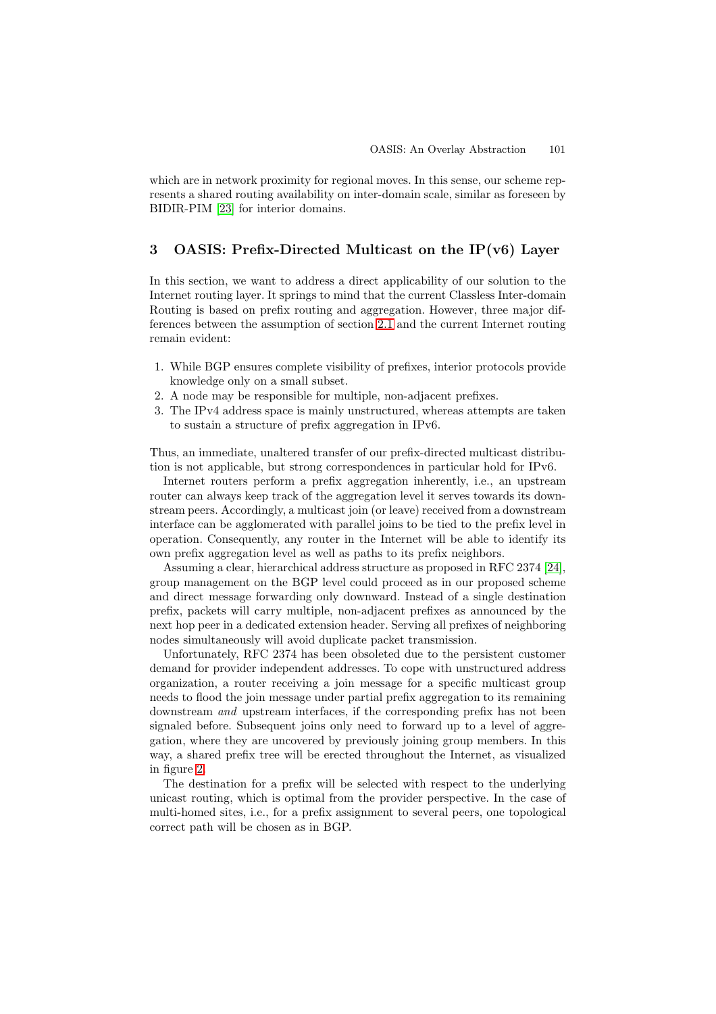which are in network proximity for regional moves. In this sense, our scheme represents a shared routing availability on inter-domain scale, similar as foreseen by BIDIR-PIM [23] for interior domains.

# **3 OASIS: Prefix-Directed Multicast on the IP(v6) Layer**

In this section, we want to address a direct applicability of our solution to the Internet routing layer. It springs to mind that the current Classless Inter-domain Routing is based on prefix routing and aggregation. However, three major differences between the assumption of section 2.1 and the current Internet routing remain evident:

- 1. While BGP ensures complete visibility of prefixes, interior protocols provide knowledge only on a small subset.
- 2. A node may be responsible for multiple, non-adjacent prefixes.
- 3. The IPv4 address space is mainly unstructured, whereas attempts are taken to sustain a structure of prefix aggregation in IPv6.

Thus, an immediate, unaltered transfer of our prefix-directed multicast distribution is not applicable, but strong correspondences in particular hold for IPv6.

Internet routers perform a prefix aggregation inherently, i.e., an upstream router can always keep track of the aggregation level it serves towards its downstream peers. Accordingly, a multicast join (or leave) received from a downstream interface can be agglomerated with parallel joins to be tied to the prefix level in operation. Consequently, any router in the Internet will be able to identify its own prefix aggregation level as well as paths to its prefix neighbors.

Assuming a clear, hierarchical address structure as proposed in RFC 2374 [24], group management on the BGP level could proceed as in our proposed scheme and direct message forwarding only downward. Instead of a single destination prefix, packets will carry multiple, non-adjacent prefixes as announced by the next hop peer in a dedicated extension header. Serving all prefixes of neighbo[ring](#page-11-9) nodes simultaneously will avoid duplicate packet transmission.

Unfortunately, RFC 2374 has been obsoleted due to the persistent customer demand for provider independent addresses. To cope with unstructured address organization, a router receiving a join message for a specific multicast group needs to flood the join message under partial prefix aggregation to its remaining downstream *and* upstream interfaces, if the corresponding prefix has not been signaled before. Subsequent joins only need to forward up to a level of aggregation, where they are uncovered by previously joining group members. In this way, a shared prefix tree will be erected throughout the Internet, as visualized in figure 2.

The destination for a prefix will be selected with respect to the underlying unicast routing, which is optimal from the provider perspective. In the case of multi-homed sites, i.e., for a prefix assignment to several peers, one topological correct p[at](#page-7-0)h will be chosen as in BGP.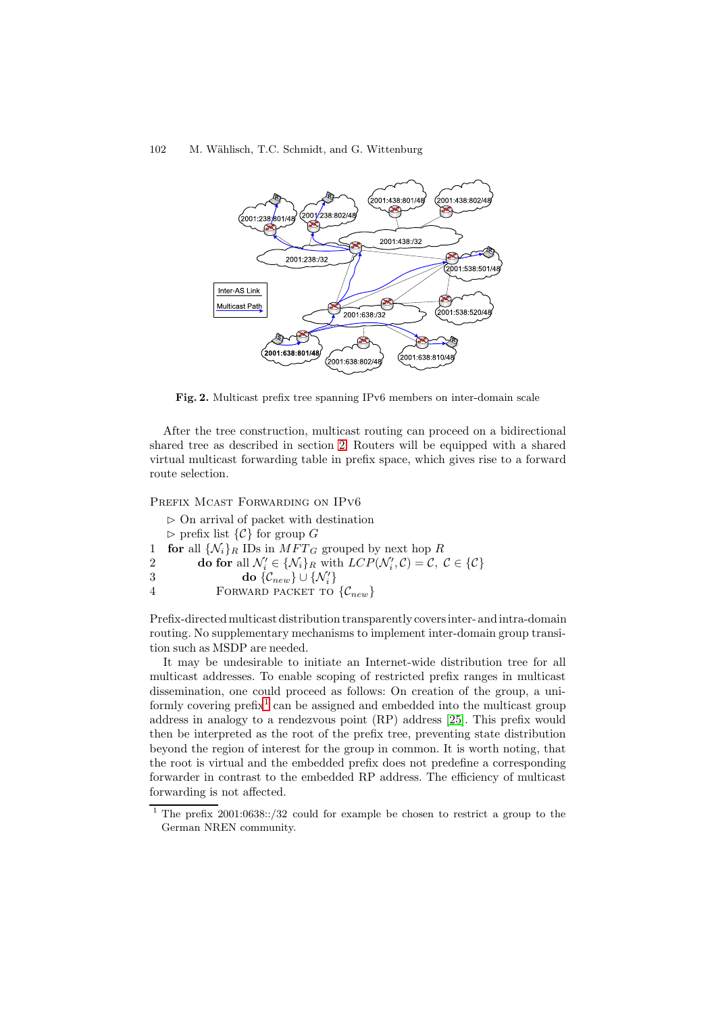

**Fig. 2.** Multicast prefix tree spanning IPv6 members on inter-domain scale

After the tree construction, multicast routing can proceed on a bidirectional shared tree as described in section 2. Routers will be equipped with a shared virtual multicast forwarding table in prefix space, which gives rise to a forward route selection.

<span id="page-7-0"></span>PREFIX MCAST FORWARDING ON [IP](#page-2-0)V6

 $\triangleright$  On arrival of packet with destination  $\triangleright$  prefix list  $\{\mathcal{C}\}\$ for group *G* 

1 **for** all  $\{\mathcal{N}_i\}_R$  IDs in  $MFT_G$  grouped by next hop *R*<br>2 **do for** all  $\mathcal{N}' \in \{\mathcal{N}_i\}_R$  with  $LCP(\mathcal{N}', \mathcal{C}) = \mathcal{C}$ .

- 2 **do for** all  $\mathcal{N}'_i \in \{\mathcal{N}_i\}_R$  with  $LCP(\mathcal{N}'_i, \mathcal{C}) = \mathcal{C}, \ \mathcal{C} \in \{\mathcal{C}\}$ <br>3 **do**  $\mathcal{C} \subset \mathcal{N}_i \cup \mathcal{N}'$
- 3 **do**  $\{C_{new}\}\cup\{N'_{i}\}$

```
4 FORWARD PACKET TO \{\mathcal{C}_{new}\}
```
Prefix-directed multicast distribution transparently covers inter- and intra-domain routing. No supplementary mechanisms to implement inter-domain group transition such as MSDP are needed.

It may be undesirable to initiate an Internet-wide distribution tree for all multicast addresses. To enable scoping of restricted prefix ranges in multicast dissemination, one could proceed as follows: On creation of the group, a uniformly covering  $\text{prefix}^1$  can be assigned and embedded into the multicast group address in analogy to a rendezvous point (RP) address [25]. This prefix would then be interpreted as the root of the prefix tree, preventing state distribution beyond the region of interest for the group in common. It is worth noting, that the root is virtual an[d](#page-7-1) the embedded prefix does not predefine a corresponding forwarder in contrast to the embedded RP address. The [effi](#page-11-10)ciency of multicast forwarding is not affected.

<span id="page-7-1"></span><sup>&</sup>lt;sup>1</sup> The prefix  $2001:0638::/32$  could for example be chosen to restrict a group to the German NREN community.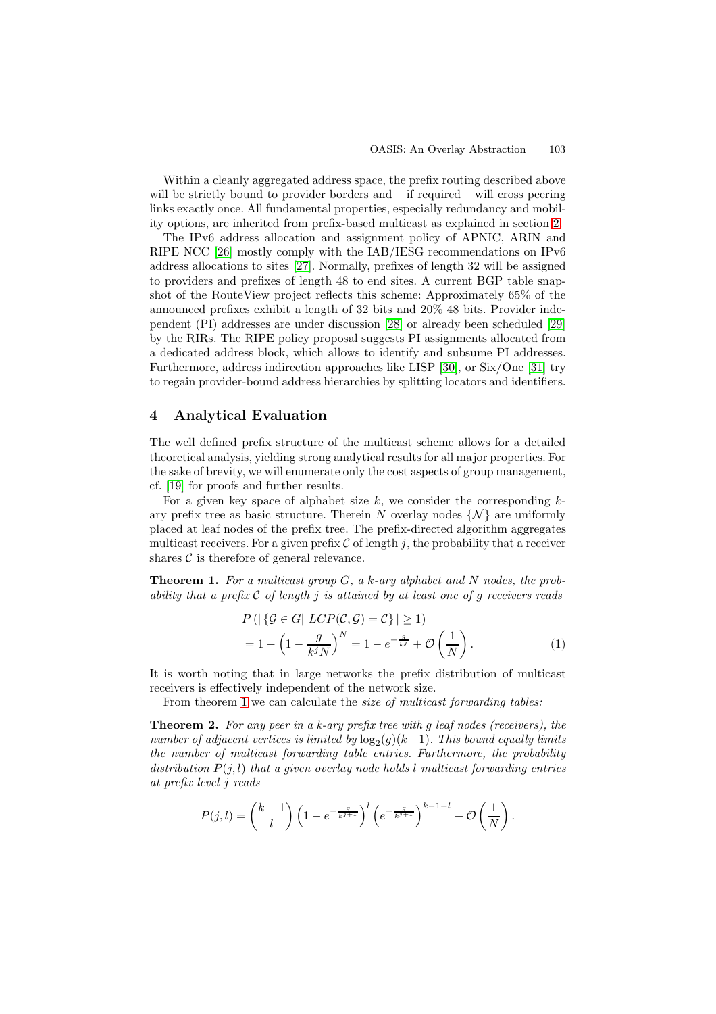Within a cleanly aggregated address space, the prefix routing described above will be strictly bound to provider borders and  $-$  if required  $-$  will cross peering links exactly once. All fundamental properties, especially redundancy and mobility options, are inherited from prefix-based multicast as explained in section 2.

The IPv6 address allocation and assignment policy of APNIC, ARIN and RIPE NCC [26] mostly comply with the IAB/IESG recommendations on IPv6 address allocations to sites [27]. Normally, prefixes of length 32 will be assigned to providers and prefixes of length 48 to end sites. A current BGP table sn[ap](#page-2-0)shot of the RouteView project reflects this scheme: Approximately 65% of the announced [prefi](#page-11-11)xes exhibit a length of 32 bits and 20% 48 bits. Provider independent (PI) addresses are [und](#page-11-12)er discussion [28] or already been scheduled [29] by the RIRs. The RIPE policy proposal suggests PI assignments allocated from a dedicated address block, which allows to identify and subsume PI addresses. Furthermore, address indirection approaches like LISP [30], or Six/One [31] try to regain provider-bound address hierarchies [by s](#page-11-13)plitting locators and identifi[ers.](#page-11-14)

## **4 Analytical Evaluation**

The well defined prefix structure of the multicast scheme allows for a detailed theoretical analysis, yielding strong analytical results for all major properties. For the sake of brevity, we will enumerate only the cost aspects of group management, cf. [19] for proofs and further results.

For a given key space of alphabet size *k*, we consider the corresponding *k*ary prefix tree as basic structure. Therein *N* overlay nodes  $\{N\}$  are uniformly placed at leaf nodes of the prefix tree. The prefix-directed algorithm aggregates mu[ltica](#page-11-5)st receivers. For a given prefix  $C$  of length  $j$ , the probability that a receiver shares  $\mathcal C$  is therefore of general relevance.

**Theorem 1.** *For a multicast group G, a k-ary alphabet and N nodes, the probability that a prefix* <sup>C</sup> *of length j is attained by at least one of g receivers reads*

<span id="page-8-0"></span>
$$
P\left(\left|\left\{\mathcal{G} \in G\right| LCP(\mathcal{C}, \mathcal{G}) = \mathcal{C}\right\}\right| \ge 1\right)
$$
  
= 1 - \left(1 - \frac{g}{k^j N}\right)^N = 1 - e^{-\frac{g}{k^j}} + \mathcal{O}\left(\frac{1}{N}\right). (1)

It is worth noting that in large networks the prefix distribution of multicast receivers is effectively independent of the network size.

From theorem 1 we can calculate the *size of multicast forwarding tables:*

**Theorem 2.** *For any peer in a k-ary prefix tree with g leaf nodes (receivers), the number of adjacent vertices is limited by*  $log_2(g)(k-1)$ *. This bound equally limits the number of m[ul](#page-8-0)ticast forwarding table entries. Furthermore, the probability distribution P*(*j, l*) *that a given overlay node holds l multicast forwarding entries at prefix level j reads*

$$
P(j,l) = {k-1 \choose l} \left(1 - e^{-\frac{g}{k^{j+1}}}\right)^l \left(e^{-\frac{g}{k^{j+1}}}\right)^{k-1-l} + \mathcal{O}\left(\frac{1}{N}\right).
$$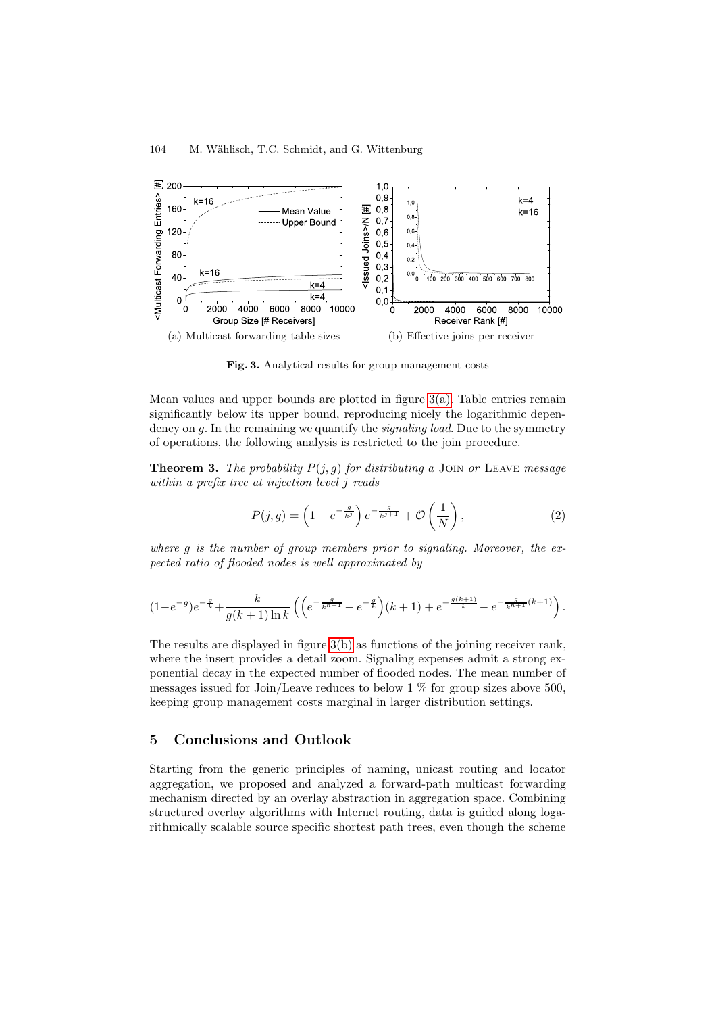<span id="page-9-1"></span>

<span id="page-9-2"></span>**Fig. 3.** Analytical results for group management costs

Mean values and upper bounds are plotted in figure  $3(a)$ . Table entries remain significantly below its upper bound, reproducing nicely the logarithmic dependency on *g*. In the remaining we quantify the *signaling load*. Due to the symmetry of operations, the following analysis is restricted to the join procedure.

**Theorem 3.** *The probability*  $P(j, g)$  *for distributing a* JOIN *or* LEAVE *message within a prefix tree at injection level j reads*

$$
P(j,g) = \left(1 - e^{-\frac{g}{k^j}}\right)e^{-\frac{g}{k^{j+1}}} + \mathcal{O}\left(\frac{1}{N}\right),\tag{2}
$$

*where g is the number of group members prior to signaling. Moreover, the expected ratio of flooded nodes is well approximated by*

$$
(1 - e^{-g})e^{-\frac{g}{k}} + \frac{k}{g(k+1)\ln k} \left( \left( e^{-\frac{g}{k^{h+1}} - e^{-\frac{g}{k}}} \right) (k+1) + e^{-\frac{g(k+1)}{k} - e^{-\frac{g}{k^{h+1}}(k+1)}} \right).
$$

The results are displayed in figure 3(b) as functions of the joining receiver rank, where the insert provides a detail zoom. Signaling expenses admit a strong exponential decay in the expected number of flooded nodes. The mean number of messages issued for Join/Leave reduces to below 1 % for group sizes above 500, keeping group management costs [margi](#page-9-2)nal in larger distribution settings.

## **5 Conclusions and Outlook**

<span id="page-9-0"></span>Starting from the generic principles of naming, unicast routing and locator aggregation, we proposed and analyzed a forward-path multicast forwarding mechanism directed by an overlay abstraction in aggregation space. Combining structured overlay algorithms with Internet routing, data is guided along logarithmically scalable source specific shortest path trees, even though the scheme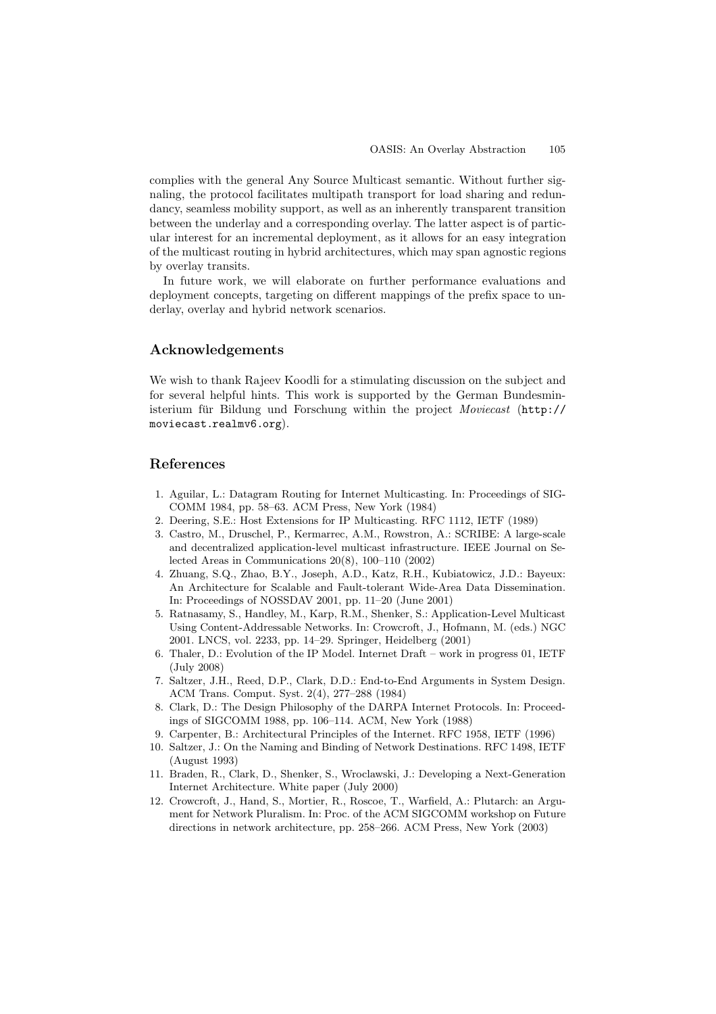complies with the general Any Source Multicast semantic. Without further signaling, the protocol facilitates multipath transport for load sharing and redundancy, seamless mobility support, as well as an inherently transparent transition between the underlay and a corresponding overlay. The latter aspect is of particular interest for an incremental deployment, as it allows for an easy integration of the multicast routing in hybrid architectures, which may span agnostic regions by overlay transits.

In future work, we will elaborate on further performance evaluations and deployment concepts, targeting on different mappings of the prefix space to underlay, overlay and hybrid network scenarios.

# **Acknowledgements**

We wish to thank Rajeev Koodli for a stimulating discussion on the subject and for several helpful hints. This work is supported by the German Bundesministerium für Bildung und Forschung within the project *Moviecast* (http:// moviecast.realmv6.org).

# **References**

- [1.](http://moviecast.realmv6.org) [Aguilar,](http://moviecast.realmv6.org) [L.:](http://moviecast.realmv6.org) [Datagram](http://moviecast.realmv6.org) [R](http://moviecast.realmv6.org)outing for Internet Multicasting. In: Proceedings of SIG-COMM 1984, pp. 58–63. ACM Press, New York (1984)
- 2. Deering, S.E.: Host Extensions for IP Multicasting. RFC 1112, IETF (1989)
- <span id="page-10-0"></span>3. Castro, M., Druschel, P., Kermarrec, A.M., Rowstron, A.: SCRIBE: A large-scale and decentralized application-level multicast infrastructure. IEEE Journal on Selected Areas in Communications 20(8), 100–110 (2002)
- <span id="page-10-2"></span><span id="page-10-1"></span>4. Zhuang, S.Q., Zhao, B.Y., Joseph, A.D., Katz, R.H., Kubiatowicz, J.D.: Bayeux: An Architecture for Scalable and Fault-tolerant Wide-Area Data Dissemination. In: Proceedings of NOSSDAV 2001, pp. 11–20 (June 2001)
- <span id="page-10-3"></span>5. Ratnasamy, S., Handley, M., Karp, R.M., Shenker, S.: Application-Level Multicast Using Content-Addressable Networks. In: Crowcroft, J., Hofmann, M. (eds.) NGC 2001. LNCS, vol. 2233, pp. 14–29. Springer, Heidelberg (2001)
- 6. Thaler, D.: Evolution of the IP Model. Internet Draft work in progress 01, IETF (July 2008)
- 7. Saltzer, J.H., Reed, D.P., Clark, D.D.: End-to-End Arguments in System Design. ACM Trans. Comput. Syst. 2(4), 277–288 (1984)
- <span id="page-10-4"></span>8. Clark, D.: The Design Philosophy of the DARPA Internet Protocols. In: Proceedings of SIGCOMM 1988, pp. 106–114. ACM, New York (1988)
- <span id="page-10-5"></span>9. Carpenter, B.: Architectural Principles of the Internet. RFC 1958, IETF (1996)
- <span id="page-10-6"></span>10. Saltzer, J.: On the Naming and Binding of Network Destinations. RFC 1498, IETF (August 1993)
- <span id="page-10-7"></span>11. Braden, R., Clark, D., Shenker, S., Wroclawski, J.: Developing a Next-Generation Internet Architecture. White paper (July 2000)
- <span id="page-10-10"></span><span id="page-10-9"></span><span id="page-10-8"></span>12. Crowcroft, J., Hand, S., Mortier, R., Roscoe, T., Warfield, A.: Plutarch: an Argument for Network Pluralism. In: Proc. of the ACM SIGCOMM workshop on Future directions in network architecture, pp. 258–266. ACM Press, New York (2003)